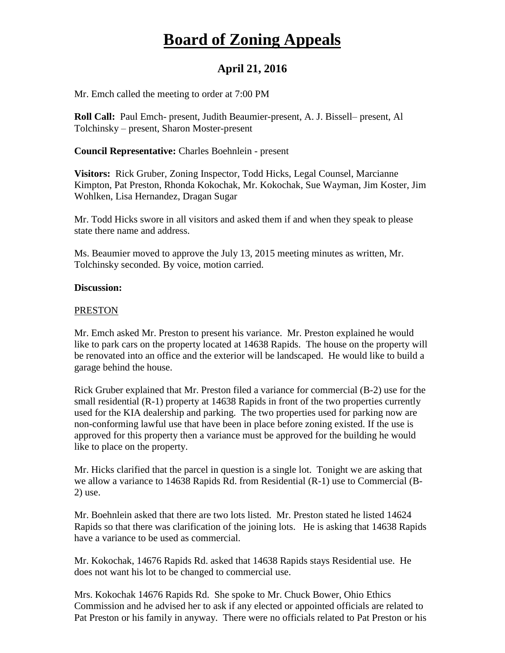# **Board of Zoning Appeals**

## **April 21, 2016**

Mr. Emch called the meeting to order at 7:00 PM

**Roll Call:** Paul Emch- present, Judith Beaumier-present, A. J. Bissell– present, Al Tolchinsky – present, Sharon Moster-present

**Council Representative:** Charles Boehnlein - present

**Visitors:** Rick Gruber, Zoning Inspector, Todd Hicks, Legal Counsel, Marcianne Kimpton, Pat Preston, Rhonda Kokochak, Mr. Kokochak, Sue Wayman, Jim Koster, Jim Wohlken, Lisa Hernandez, Dragan Sugar

Mr. Todd Hicks swore in all visitors and asked them if and when they speak to please state there name and address.

Ms. Beaumier moved to approve the July 13, 2015 meeting minutes as written, Mr. Tolchinsky seconded. By voice, motion carried.

#### **Discussion:**

#### PRESTON

Mr. Emch asked Mr. Preston to present his variance. Mr. Preston explained he would like to park cars on the property located at 14638 Rapids. The house on the property will be renovated into an office and the exterior will be landscaped. He would like to build a garage behind the house.

Rick Gruber explained that Mr. Preston filed a variance for commercial (B-2) use for the small residential (R-1) property at 14638 Rapids in front of the two properties currently used for the KIA dealership and parking. The two properties used for parking now are non-conforming lawful use that have been in place before zoning existed. If the use is approved for this property then a variance must be approved for the building he would like to place on the property.

Mr. Hicks clarified that the parcel in question is a single lot. Tonight we are asking that we allow a variance to 14638 Rapids Rd. from Residential (R-1) use to Commercial (B-2) use.

Mr. Boehnlein asked that there are two lots listed. Mr. Preston stated he listed 14624 Rapids so that there was clarification of the joining lots. He is asking that 14638 Rapids have a variance to be used as commercial.

Mr. Kokochak, 14676 Rapids Rd. asked that 14638 Rapids stays Residential use. He does not want his lot to be changed to commercial use.

Mrs. Kokochak 14676 Rapids Rd. She spoke to Mr. Chuck Bower, Ohio Ethics Commission and he advised her to ask if any elected or appointed officials are related to Pat Preston or his family in anyway. There were no officials related to Pat Preston or his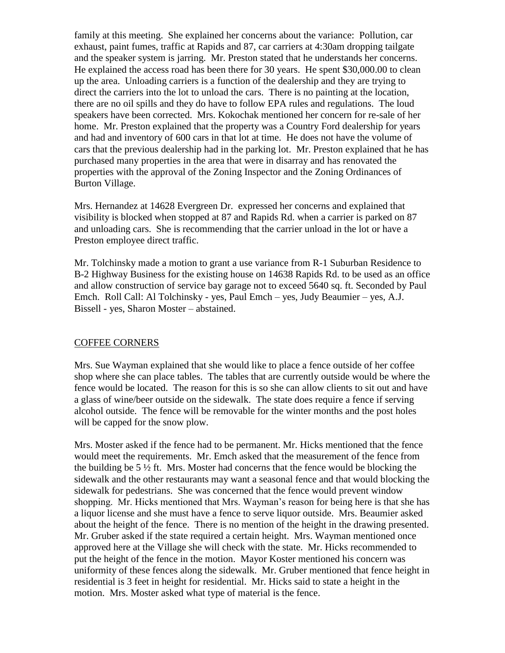family at this meeting. She explained her concerns about the variance: Pollution, car exhaust, paint fumes, traffic at Rapids and 87, car carriers at 4:30am dropping tailgate and the speaker system is jarring. Mr. Preston stated that he understands her concerns. He explained the access road has been there for 30 years. He spent \$30,000.00 to clean up the area. Unloading carriers is a function of the dealership and they are trying to direct the carriers into the lot to unload the cars. There is no painting at the location, there are no oil spills and they do have to follow EPA rules and regulations. The loud speakers have been corrected. Mrs. Kokochak mentioned her concern for re-sale of her home. Mr. Preston explained that the property was a Country Ford dealership for years and had and inventory of 600 cars in that lot at time. He does not have the volume of cars that the previous dealership had in the parking lot. Mr. Preston explained that he has purchased many properties in the area that were in disarray and has renovated the properties with the approval of the Zoning Inspector and the Zoning Ordinances of Burton Village.

Mrs. Hernandez at 14628 Evergreen Dr. expressed her concerns and explained that visibility is blocked when stopped at 87 and Rapids Rd. when a carrier is parked on 87 and unloading cars. She is recommending that the carrier unload in the lot or have a Preston employee direct traffic.

Mr. Tolchinsky made a motion to grant a use variance from R-1 Suburban Residence to B-2 Highway Business for the existing house on 14638 Rapids Rd. to be used as an office and allow construction of service bay garage not to exceed 5640 sq. ft. Seconded by Paul Emch. Roll Call: Al Tolchinsky - yes, Paul Emch – yes, Judy Beaumier – yes, A.J. Bissell - yes, Sharon Moster – abstained.

#### COFFEE CORNERS

Mrs. Sue Wayman explained that she would like to place a fence outside of her coffee shop where she can place tables. The tables that are currently outside would be where the fence would be located. The reason for this is so she can allow clients to sit out and have a glass of wine/beer outside on the sidewalk. The state does require a fence if serving alcohol outside. The fence will be removable for the winter months and the post holes will be capped for the snow plow.

Mrs. Moster asked if the fence had to be permanent. Mr. Hicks mentioned that the fence would meet the requirements. Mr. Emch asked that the measurement of the fence from the building be 5  $\frac{1}{2}$  ft. Mrs. Moster had concerns that the fence would be blocking the sidewalk and the other restaurants may want a seasonal fence and that would blocking the sidewalk for pedestrians. She was concerned that the fence would prevent window shopping. Mr. Hicks mentioned that Mrs. Wayman's reason for being here is that she has a liquor license and she must have a fence to serve liquor outside. Mrs. Beaumier asked about the height of the fence. There is no mention of the height in the drawing presented. Mr. Gruber asked if the state required a certain height. Mrs. Wayman mentioned once approved here at the Village she will check with the state. Mr. Hicks recommended to put the height of the fence in the motion. Mayor Koster mentioned his concern was uniformity of these fences along the sidewalk. Mr. Gruber mentioned that fence height in residential is 3 feet in height for residential. Mr. Hicks said to state a height in the motion. Mrs. Moster asked what type of material is the fence.